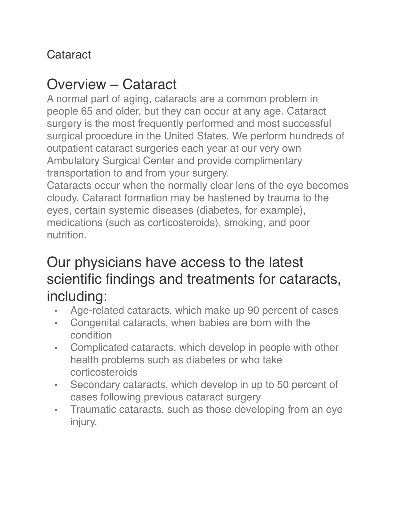#### **Cataract**

### Overview – Cataract

A normal part of aging, cataracts are a common problem in people 65 and older, but they can occur at any age. Cataract surgery is the most frequently performed and most successful surgical procedure in the United States. We perform hundreds of outpatient cataract surgeries each year at our very own Ambulatory Surgical Center and provide complimentary transportation to and from your surgery.

Cataracts occur when the normally clear lens of the eye becomes cloudy. Cataract formation may be hastened by trauma to the eyes, certain systemic diseases (diabetes, for example), medications (such as corticosteroids), smoking, and poor nutrition.

### Our physicians have access to the latest scientific findings and treatments for cataracts, including:

- Age-related cataracts, which make up 90 percent of cases
- Congenital cataracts, when babies are born with the condition
- Complicated cataracts, which develop in people with other health problems such as diabetes or who take corticosteroids
- Secondary cataracts, which develop in up to 50 percent of cases following previous cataract surgery
- Traumatic cataracts, such as those developing from an eye injury.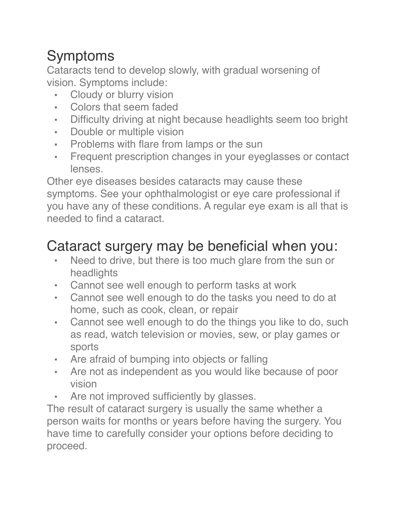# Symptoms

Cataracts tend to develop slowly, with gradual worsening of vision. Symptoms include:

- Cloudy or blurry vision
- Colors that seem faded
- Difficulty driving at night because headlights seem too bright
- Double or multiple vision
- Problems with flare from lamps or the sun
- Frequent prescription changes in your eyeglasses or contact lenses.

Other eye diseases besides cataracts may cause these symptoms. See your ophthalmologist or eye care professional if you have any of these conditions. A regular eye exam is all that is needed to find a cataract.

## Cataract surgery may be beneficial when you:

- Need to drive, but there is too much glare from the sun or headlights
- Cannot see well enough to perform tasks at work
- Cannot see well enough to do the tasks you need to do at home, such as cook, clean, or repair
- Cannot see well enough to do the things you like to do, such as read, watch television or movies, sew, or play games or sports
- Are afraid of bumping into objects or falling
- Are not as independent as you would like because of poor vision
- Are not improved sufficiently by glasses.

The result of cataract surgery is usually the same whether a person waits for months or years before having the surgery. You have time to carefully consider your options before deciding to proceed.